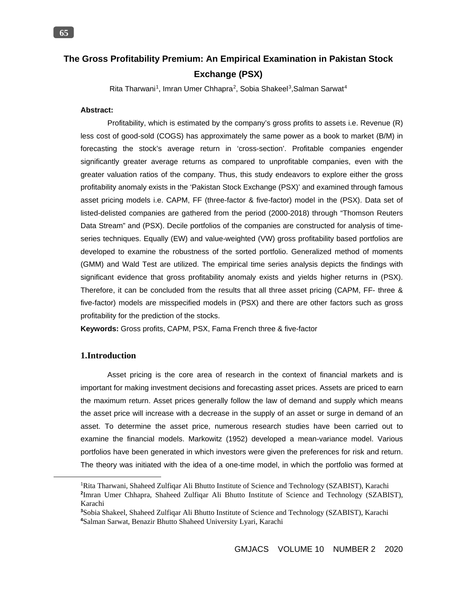Rita Tharwani<sup>1</sup>, Imran Umer Chhapra<sup>2</sup>, Sobia Shakeel<sup>3</sup>, Salman Sarwat<sup>4</sup>

# **Abstract:**

Profitability, which is estimated by the company's gross profits to assets i.e. Revenue (R) less cost of good-sold (COGS) has approximately the same power as a book to market (B/M) in forecasting the stock's average return in 'cross-section'. Profitable companies engender significantly greater average returns as compared to unprofitable companies, even with the greater valuation ratios of the company. Thus, this study endeavors to explore either the gross profitability anomaly exists in the 'Pakistan Stock Exchange (PSX)' and examined through famous asset pricing models i.e. CAPM, FF (three-factor & five-factor) model in the (PSX). Data set of listed-delisted companies are gathered from the period (2000-2018) through "Thomson Reuters Data Stream" and (PSX). Decile portfolios of the companies are constructed for analysis of timeseries techniques. Equally (EW) and value-weighted (VW) gross profitability based portfolios are developed to examine the robustness of the sorted portfolio. Generalized method of moments (GMM) and Wald Test are utilized. The empirical time series analysis depicts the findings with significant evidence that gross profitability anomaly exists and yields higher returns in (PSX). Therefore, it can be concluded from the results that all three asset pricing (CAPM, FF- three & five-factor) models are misspecified models in (PSX) and there are other factors such as gross profitability for the prediction of the stocks.

**Keywords:** Gross profits, CAPM, PSX, Fama French three & five-factor

# **1.Introduction**

 $\overline{a}$ 

Asset pricing is the core area of research in the context of financial markets and is important for making investment decisions and forecasting asset prices. Assets are priced to earn the maximum return. Asset prices generally follow the law of demand and supply which means the asset price will increase with a decrease in the supply of an asset or surge in demand of an asset. To determine the asset price, numerous research studies have been carried out to examine the financial models. Markowitz (1952) developed a mean-variance model. Various portfolios have been generated in which investors were given the preferences for risk and return. The theory was initiated with the idea of a one-time model, in which the portfolio was formed at

<sup>&</sup>lt;sup>1</sup>Rita Tharwani, Shaheed Zulfiqar Ali Bhutto Institute of Science and Technology (SZABIST), Karachi **2** Imran Umer Chhapra, Shaheed Zulfiqar Ali Bhutto Institute of Science and Technology (SZABIST), Karachi

**<sup>3</sup>** Sobia Shakeel, Shaheed Zulfiqar Ali Bhutto Institute of Science and Technology (SZABIST), Karachi **4** Salman Sarwat, Benazir Bhutto Shaheed University Lyari, Karachi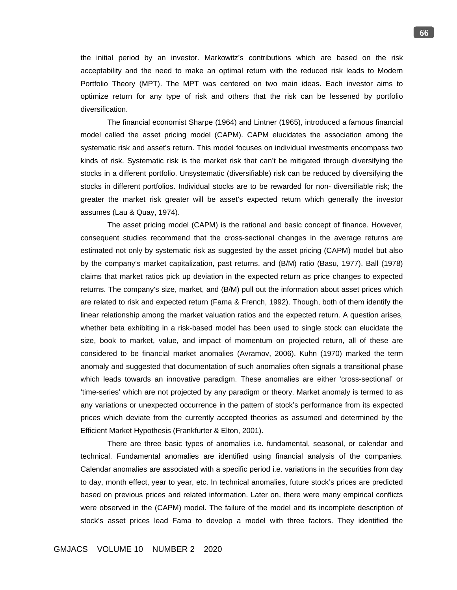the initial period by an investor. Markowitz's contributions which are based on the risk acceptability and the need to make an optimal return with the reduced risk leads to Modern Portfolio Theory (MPT). The MPT was centered on two main ideas. Each investor aims to optimize return for any type of risk and others that the risk can be lessened by portfolio diversification.

The financial economist Sharpe (1964) and Lintner (1965), introduced a famous financial model called the asset pricing model (CAPM). CAPM elucidates the association among the systematic risk and asset's return. This model focuses on individual investments encompass two kinds of risk. Systematic risk is the market risk that can't be mitigated through diversifying the stocks in a different portfolio. Unsystematic (diversifiable) risk can be reduced by diversifying the stocks in different portfolios. Individual stocks are to be rewarded for non- diversifiable risk; the greater the market risk greater will be asset's expected return which generally the investor assumes (Lau & Quay, 1974).

The asset pricing model (CAPM) is the rational and basic concept of finance. However, consequent studies recommend that the cross-sectional changes in the average returns are estimated not only by systematic risk as suggested by the asset pricing (CAPM) model but also by the company's market capitalization, past returns, and (B/M) ratio (Basu, 1977). Ball (1978) claims that market ratios pick up deviation in the expected return as price changes to expected returns. The company's size, market, and (B/M) pull out the information about asset prices which are related to risk and expected return (Fama & French, 1992). Though, both of them identify the linear relationship among the market valuation ratios and the expected return. A question arises, whether beta exhibiting in a risk-based model has been used to single stock can elucidate the size, book to market, value, and impact of momentum on projected return, all of these are considered to be financial market anomalies (Avramov, 2006). Kuhn (1970) marked the term anomaly and suggested that documentation of such anomalies often signals a transitional phase which leads towards an innovative paradigm. These anomalies are either 'cross-sectional' or 'time-series' which are not projected by any paradigm or theory. Market anomaly is termed to as any variations or unexpected occurrence in the pattern of stock's performance from its expected prices which deviate from the currently accepted theories as assumed and determined by the Efficient Market Hypothesis (Frankfurter & Elton, 2001).

There are three basic types of anomalies i.e. fundamental, seasonal, or calendar and technical. Fundamental anomalies are identified using financial analysis of the companies. Calendar anomalies are associated with a specific period i.e. variations in the securities from day to day, month effect, year to year, etc. In technical anomalies, future stock's prices are predicted based on previous prices and related information. Later on, there were many empirical conflicts were observed in the (CAPM) model. The failure of the model and its incomplete description of stock's asset prices lead Fama to develop a model with three factors. They identified the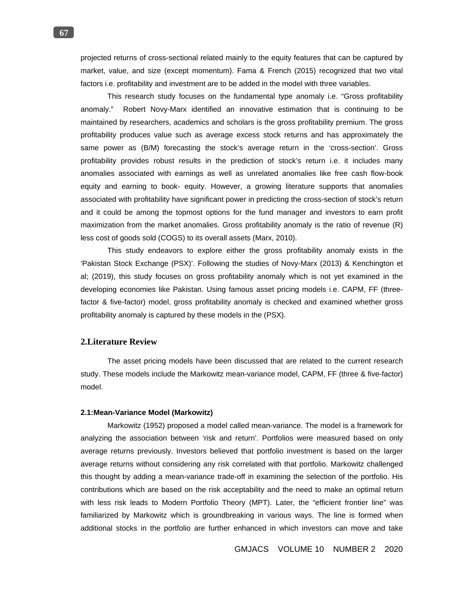projected returns of cross-sectional related mainly to the equity features that can be captured by market, value, and size (except momentum). Fama & French (2015) recognized that two vital factors i.e. profitability and investment are to be added in the model with three variables.

This research study focuses on the fundamental type anomaly i.e. "Gross profitability anomaly." Robert Novy-Marx identified an innovative estimation that is continuing to be maintained by researchers, academics and scholars is the gross profitability premium. The gross profitability produces value such as average excess stock returns and has approximately the same power as (B/M) forecasting the stock's average return in the 'cross-section'. Gross profitability provides robust results in the prediction of stock's return i.e. it includes many anomalies associated with earnings as well as unrelated anomalies like free cash flow-book equity and earning to book- equity. However, a growing literature supports that anomalies associated with profitability have significant power in predicting the cross-section of stock's return and it could be among the topmost options for the fund manager and investors to earn profit maximization from the market anomalies. Gross profitability anomaly is the ratio of revenue (R) less cost of goods sold (COGS) to its overall assets (Marx, 2010).

This study endeavors to explore either the gross profitability anomaly exists in the 'Pakistan Stock Exchange (PSX)'. Following the studies of Novy-Marx (2013) & Kenchington et al; (2019), this study focuses on gross profitability anomaly which is not yet examined in the developing economies like Pakistan. Using famous asset pricing models i.e. CAPM, FF (threefactor & five-factor) model, gross profitability anomaly is checked and examined whether gross profitability anomaly is captured by these models in the (PSX).

## **2.Literature Review**

The asset pricing models have been discussed that are related to the current research study. These models include the Markowitz mean-variance model, CAPM, FF (three & five-factor) model.

#### **2.1:Mean-Variance Model (Markowitz)**

Markowitz (1952) proposed a model called mean-variance. The model is a framework for analyzing the association between 'risk and return'. Portfolios were measured based on only average returns previously. Investors believed that portfolio investment is based on the larger average returns without considering any risk correlated with that portfolio. Markowitz challenged this thought by adding a mean-variance trade-off in examining the selection of the portfolio. His contributions which are based on the risk acceptability and the need to make an optimal return with less risk leads to Modern Portfolio Theory (MPT). Later, the "efficient frontier line" was familiarized by Markowitz which is groundbreaking in various ways. The line is formed when additional stocks in the portfolio are further enhanced in which investors can move and take

GMJACS VOLUME 10 NUMBER 2 2020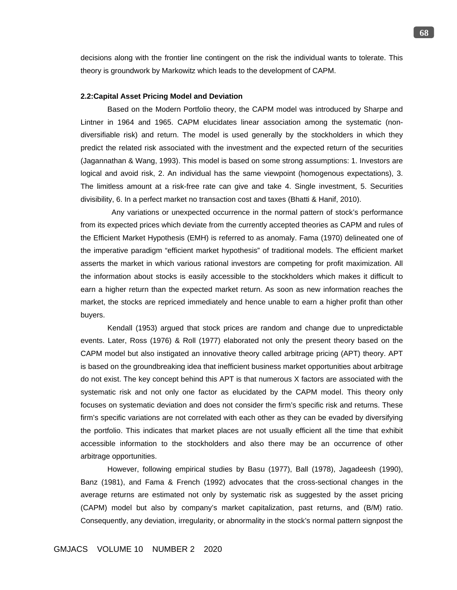decisions along with the frontier line contingent on the risk the individual wants to tolerate. This theory is groundwork by Markowitz which leads to the development of CAPM.

### **2.2:Capital Asset Pricing Model and Deviation**

Based on the Modern Portfolio theory, the CAPM model was introduced by Sharpe and Lintner in 1964 and 1965. CAPM elucidates linear association among the systematic (nondiversifiable risk) and return. The model is used generally by the stockholders in which they predict the related risk associated with the investment and the expected return of the securities (Jagannathan & Wang, 1993). This model is based on some strong assumptions: 1. Investors are logical and avoid risk, 2. An individual has the same viewpoint (homogenous expectations), 3. The limitless amount at a risk-free rate can give and take 4. Single investment, 5. Securities divisibility, 6. In a perfect market no transaction cost and taxes (Bhatti & Hanif, 2010).

 Any variations or unexpected occurrence in the normal pattern of stock's performance from its expected prices which deviate from the currently accepted theories as CAPM and rules of the Efficient Market Hypothesis (EMH) is referred to as anomaly. Fama (1970) delineated one of the imperative paradigm "efficient market hypothesis" of traditional models. The efficient market asserts the market in which various rational investors are competing for profit maximization. All the information about stocks is easily accessible to the stockholders which makes it difficult to earn a higher return than the expected market return. As soon as new information reaches the market, the stocks are repriced immediately and hence unable to earn a higher profit than other buyers.

Kendall (1953) argued that stock prices are random and change due to unpredictable events. Later, Ross (1976) & Roll (1977) elaborated not only the present theory based on the CAPM model but also instigated an innovative theory called arbitrage pricing (APT) theory. APT is based on the groundbreaking idea that inefficient business market opportunities about arbitrage do not exist. The key concept behind this APT is that numerous X factors are associated with the systematic risk and not only one factor as elucidated by the CAPM model. This theory only focuses on systematic deviation and does not consider the firm's specific risk and returns. These firm's specific variations are not correlated with each other as they can be evaded by diversifying the portfolio. This indicates that market places are not usually efficient all the time that exhibit accessible information to the stockholders and also there may be an occurrence of other arbitrage opportunities.

However, following empirical studies by Basu (1977), Ball (1978), Jagadeesh (1990), Banz (1981), and Fama & French (1992) advocates that the cross-sectional changes in the average returns are estimated not only by systematic risk as suggested by the asset pricing (CAPM) model but also by company's market capitalization, past returns, and (B/M) ratio. Consequently, any deviation, irregularity, or abnormality in the stock's normal pattern signpost the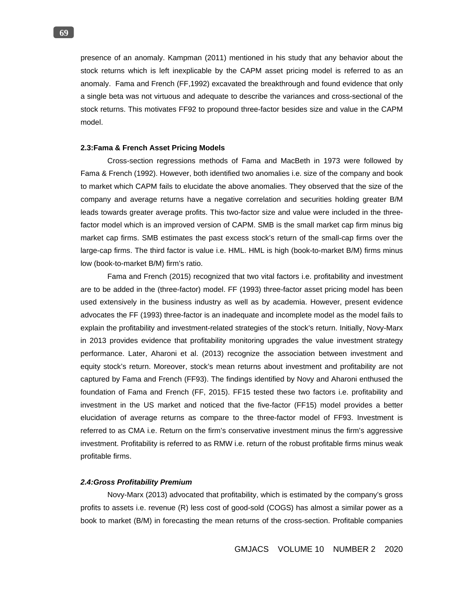presence of an anomaly. Kampman (2011) mentioned in his study that any behavior about the stock returns which is left inexplicable by the CAPM asset pricing model is referred to as an anomaly. Fama and French (FF,1992) excavated the breakthrough and found evidence that only a single beta was not virtuous and adequate to describe the variances and cross-sectional of the stock returns. This motivates FF92 to propound three-factor besides size and value in the CAPM model.

### **2.3:Fama & French Asset Pricing Models**

Cross-section regressions methods of Fama and MacBeth in 1973 were followed by Fama & French (1992). However, both identified two anomalies i.e. size of the company and book to market which CAPM fails to elucidate the above anomalies. They observed that the size of the company and average returns have a negative correlation and securities holding greater B/M leads towards greater average profits. This two-factor size and value were included in the threefactor model which is an improved version of CAPM. SMB is the small market cap firm minus big market cap firms. SMB estimates the past excess stock's return of the small-cap firms over the large-cap firms. The third factor is value i.e. HML. HML is high (book-to-market B/M) firms minus low (book-to-market B/M) firm's ratio.

Fama and French (2015) recognized that two vital factors i.e. profitability and investment are to be added in the (three-factor) model. FF (1993) three-factor asset pricing model has been used extensively in the business industry as well as by academia. However, present evidence advocates the FF (1993) three-factor is an inadequate and incomplete model as the model fails to explain the profitability and investment-related strategies of the stock's return. Initially, Novy-Marx in 2013 provides evidence that profitability monitoring upgrades the value investment strategy performance. Later, Aharoni et al. (2013) recognize the association between investment and equity stock's return. Moreover, stock's mean returns about investment and profitability are not captured by Fama and French (FF93). The findings identified by Novy and Aharoni enthused the foundation of Fama and French (FF, 2015). FF15 tested these two factors i.e. profitability and investment in the US market and noticed that the five-factor (FF15) model provides a better elucidation of average returns as compare to the three-factor model of FF93. Investment is referred to as CMA i.e. Return on the firm's conservative investment minus the firm's aggressive investment. Profitability is referred to as RMW i.e. return of the robust profitable firms minus weak profitable firms.

#### *2.4:Gross Profitability Premium*

Novy-Marx (2013) advocated that profitability, which is estimated by the company's gross profits to assets i.e. revenue (R) less cost of good-sold (COGS) has almost a similar power as a book to market (B/M) in forecasting the mean returns of the cross-section. Profitable companies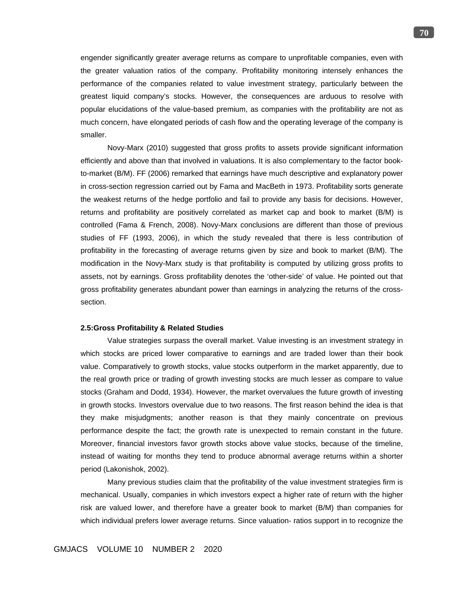engender significantly greater average returns as compare to unprofitable companies, even with the greater valuation ratios of the company. Profitability monitoring intensely enhances the performance of the companies related to value investment strategy, particularly between the greatest liquid company's stocks. However, the consequences are arduous to resolve with popular elucidations of the value-based premium, as companies with the profitability are not as much concern, have elongated periods of cash flow and the operating leverage of the company is smaller.

Novy-Marx (2010) suggested that gross profits to assets provide significant information efficiently and above than that involved in valuations. It is also complementary to the factor bookto-market (B/M). FF (2006) remarked that earnings have much descriptive and explanatory power in cross-section regression carried out by Fama and MacBeth in 1973. Profitability sorts generate the weakest returns of the hedge portfolio and fail to provide any basis for decisions. However, returns and profitability are positively correlated as market cap and book to market (B/M) is controlled (Fama & French, 2008). Novy-Marx conclusions are different than those of previous studies of FF (1993, 2006), in which the study revealed that there is less contribution of profitability in the forecasting of average returns given by size and book to market (B/M). The modification in the Novy-Marx study is that profitability is computed by utilizing gross profits to assets, not by earnings. Gross profitability denotes the 'other-side' of value. He pointed out that gross profitability generates abundant power than earnings in analyzing the returns of the crosssection.

#### **2.5:Gross Profitability & Related Studies**

Value strategies surpass the overall market. Value investing is an investment strategy in which stocks are priced lower comparative to earnings and are traded lower than their book value. Comparatively to growth stocks, value stocks outperform in the market apparently, due to the real growth price or trading of growth investing stocks are much lesser as compare to value stocks (Graham and Dodd, 1934). However, the market overvalues the future growth of investing in growth stocks. Investors overvalue due to two reasons. The first reason behind the idea is that they make misjudgments; another reason is that they mainly concentrate on previous performance despite the fact; the growth rate is unexpected to remain constant in the future. Moreover, financial investors favor growth stocks above value stocks, because of the timeline, instead of waiting for months they tend to produce abnormal average returns within a shorter period (Lakonishok, 2002).

Many previous studies claim that the profitability of the value investment strategies firm is mechanical. Usually, companies in which investors expect a higher rate of return with the higher risk are valued lower, and therefore have a greater book to market (B/M) than companies for which individual prefers lower average returns. Since valuation- ratios support in to recognize the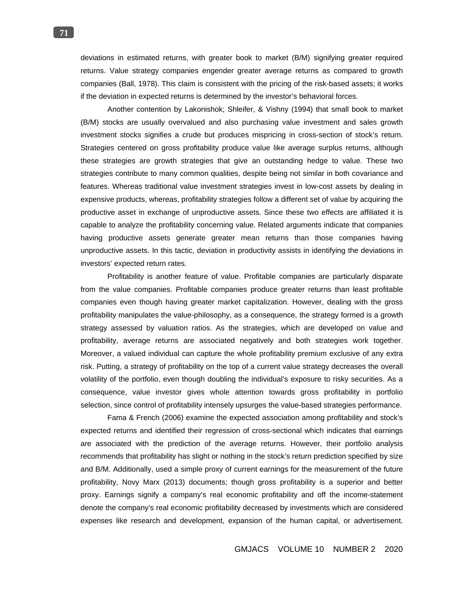deviations in estimated returns, with greater book to market (B/M) signifying greater required returns. Value strategy companies engender greater average returns as compared to growth companies (Ball, 1978). This claim is consistent with the pricing of the risk-based assets; it works if the deviation in expected returns is determined by the investor's behavioral forces.

Another contention by Lakonishok; Shleifer, & Vishny (1994) that small book to market (B/M) stocks are usually overvalued and also purchasing value investment and sales growth investment stocks signifies a crude but produces mispricing in cross-section of stock's return. Strategies centered on gross profitability produce value like average surplus returns, although these strategies are growth strategies that give an outstanding hedge to value. These two strategies contribute to many common qualities, despite being not similar in both covariance and features. Whereas traditional value investment strategies invest in low-cost assets by dealing in expensive products, whereas, profitability strategies follow a different set of value by acquiring the productive asset in exchange of unproductive assets. Since these two effects are affiliated it is capable to analyze the profitability concerning value. Related arguments indicate that companies having productive assets generate greater mean returns than those companies having unproductive assets. In this tactic, deviation in productivity assists in identifying the deviations in investors' expected return rates.

Profitability is another feature of value. Profitable companies are particularly disparate from the value companies. Profitable companies produce greater returns than least profitable companies even though having greater market capitalization. However, dealing with the gross profitability manipulates the value-philosophy, as a consequence, the strategy formed is a growth strategy assessed by valuation ratios. As the strategies, which are developed on value and profitability, average returns are associated negatively and both strategies work together. Moreover, a valued individual can capture the whole profitability premium exclusive of any extra risk. Putting, a strategy of profitability on the top of a current value strategy decreases the overall volatility of the portfolio, even though doubling the individual's exposure to risky securities. As a consequence, value investor gives whole attention towards gross profitability in portfolio selection, since control of profitability intensely upsurges the value-based strategies performance.

Fama & French (2006) examine the expected association among profitability and stock's expected returns and identified their regression of cross-sectional which indicates that earnings are associated with the prediction of the average returns. However, their portfolio analysis recommends that profitability has slight or nothing in the stock's return prediction specified by size and B/M. Additionally, used a simple proxy of current earnings for the measurement of the future profitability, Novy Marx (2013) documents; though gross profitability is a superior and better proxy. Earnings signify a company's real economic profitability and off the income-statement denote the company's real economic profitability decreased by investments which are considered expenses like research and development, expansion of the human capital, or advertisement.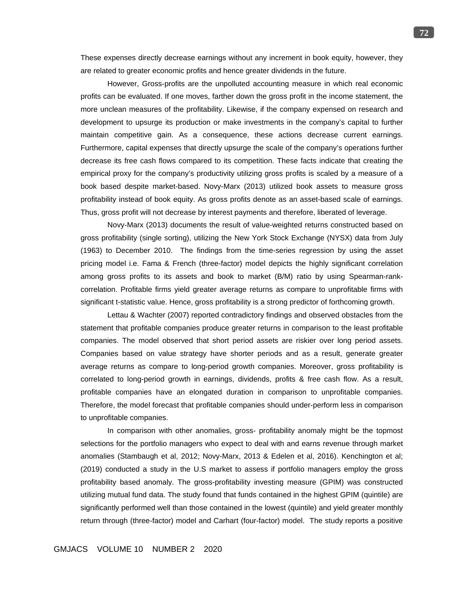These expenses directly decrease earnings without any increment in book equity, however, they are related to greater economic profits and hence greater dividends in the future.

However, Gross-profits are the unpolluted accounting measure in which real economic profits can be evaluated. If one moves, farther down the gross profit in the income statement, the more unclean measures of the profitability. Likewise, if the company expensed on research and development to upsurge its production or make investments in the company's capital to further maintain competitive gain. As a consequence, these actions decrease current earnings. Furthermore, capital expenses that directly upsurge the scale of the company's operations further decrease its free cash flows compared to its competition. These facts indicate that creating the empirical proxy for the company's productivity utilizing gross profits is scaled by a measure of a book based despite market-based. Novy-Marx (2013) utilized book assets to measure gross profitability instead of book equity. As gross profits denote as an asset-based scale of earnings. Thus, gross profit will not decrease by interest payments and therefore, liberated of leverage.

Novy-Marx (2013) documents the result of value-weighted returns constructed based on gross profitability (single sorting), utilizing the New York Stock Exchange (NYSX) data from July (1963) to December 2010. The findings from the time-series regression by using the asset pricing model i.e. Fama & French (three-factor) model depicts the highly significant correlation among gross profits to its assets and book to market (B/M) ratio by using Spearman-rankcorrelation. Profitable firms yield greater average returns as compare to unprofitable firms with significant t-statistic value. Hence, gross profitability is a strong predictor of forthcoming growth.

Lettau & Wachter (2007) reported contradictory findings and observed obstacles from the statement that profitable companies produce greater returns in comparison to the least profitable companies. The model observed that short period assets are riskier over long period assets. Companies based on value strategy have shorter periods and as a result, generate greater average returns as compare to long-period growth companies. Moreover, gross profitability is correlated to long-period growth in earnings, dividends, profits & free cash flow. As a result, profitable companies have an elongated duration in comparison to unprofitable companies. Therefore, the model forecast that profitable companies should under-perform less in comparison to unprofitable companies.

In comparison with other anomalies, gross- profitability anomaly might be the topmost selections for the portfolio managers who expect to deal with and earns revenue through market anomalies (Stambaugh et al, 2012; Novy-Marx, 2013 & Edelen et al, 2016). Kenchington et al; (2019) conducted a study in the U.S market to assess if portfolio managers employ the gross profitability based anomaly. The gross-profitability investing measure (GPIM) was constructed utilizing mutual fund data. The study found that funds contained in the highest GPIM (quintile) are significantly performed well than those contained in the lowest (quintile) and yield greater monthly return through (three-factor) model and Carhart (four-factor) model. The study reports a positive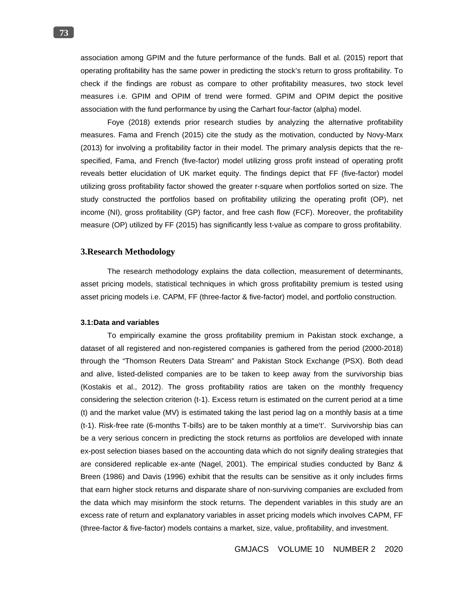association among GPIM and the future performance of the funds. Ball et al. (2015) report that operating profitability has the same power in predicting the stock's return to gross profitability. To check if the findings are robust as compare to other profitability measures, two stock level measures i.e. GPIM and OPIM of trend were formed. GPIM and OPIM depict the positive association with the fund performance by using the Carhart four-factor (alpha) model.

Foye (2018) extends prior research studies by analyzing the alternative profitability measures. Fama and French (2015) cite the study as the motivation, conducted by Novy-Marx (2013) for involving a profitability factor in their model. The primary analysis depicts that the respecified, Fama, and French (five-factor) model utilizing gross profit instead of operating profit reveals better elucidation of UK market equity. The findings depict that FF (five-factor) model utilizing gross profitability factor showed the greater r-square when portfolios sorted on size. The study constructed the portfolios based on profitability utilizing the operating profit (OP), net income (NI), gross profitability (GP) factor, and free cash flow (FCF). Moreover, the profitability measure (OP) utilized by FF (2015) has significantly less t-value as compare to gross profitability.

## **3.Research Methodology**

The research methodology explains the data collection, measurement of determinants, asset pricing models, statistical techniques in which gross profitability premium is tested using asset pricing models i.e. CAPM, FF (three-factor & five-factor) model, and portfolio construction.

### **3.1:Data and variables**

To empirically examine the gross profitability premium in Pakistan stock exchange, a dataset of all registered and non-registered companies is gathered from the period (2000-2018) through the "Thomson Reuters Data Stream" and Pakistan Stock Exchange (PSX). Both dead and alive, listed-delisted companies are to be taken to keep away from the survivorship bias (Kostakis et al., 2012). The gross profitability ratios are taken on the monthly frequency considering the selection criterion (t-1). Excess return is estimated on the current period at a time (t) and the market value (MV) is estimated taking the last period lag on a monthly basis at a time (t-1). Risk-free rate (6-months T-bills) are to be taken monthly at a time't'. Survivorship bias can be a very serious concern in predicting the stock returns as portfolios are developed with innate ex-post selection biases based on the accounting data which do not signify dealing strategies that are considered replicable ex-ante (Nagel, 2001). The empirical studies conducted by Banz & Breen (1986) and Davis (1996) exhibit that the results can be sensitive as it only includes firms that earn higher stock returns and disparate share of non-surviving companies are excluded from the data which may misinform the stock returns. The dependent variables in this study are an excess rate of return and explanatory variables in asset pricing models which involves CAPM, FF (three-factor & five-factor) models contains a market, size, value, profitability, and investment.

GMJACS VOLUME 10 NUMBER 2 2020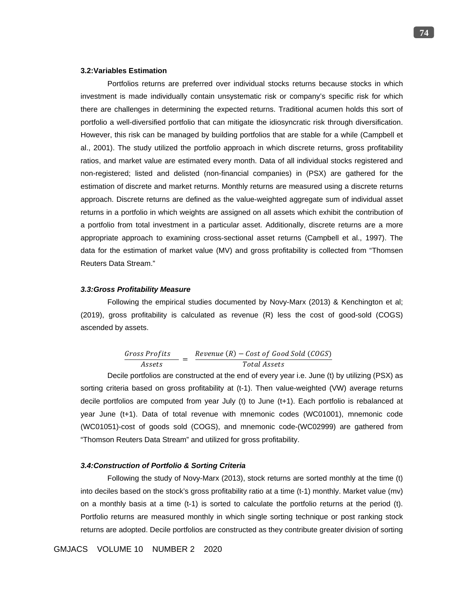## **3.2:Variables Estimation**

Portfolios returns are preferred over individual stocks returns because stocks in which investment is made individually contain unsystematic risk or company's specific risk for which there are challenges in determining the expected returns. Traditional acumen holds this sort of portfolio a well-diversified portfolio that can mitigate the idiosyncratic risk through diversification. However, this risk can be managed by building portfolios that are stable for a while (Campbell et al., 2001). The study utilized the portfolio approach in which discrete returns, gross profitability ratios, and market value are estimated every month. Data of all individual stocks registered and non-registered; listed and delisted (non-financial companies) in (PSX) are gathered for the estimation of discrete and market returns. Monthly returns are measured using a discrete returns approach. Discrete returns are defined as the value-weighted aggregate sum of individual asset returns in a portfolio in which weights are assigned on all assets which exhibit the contribution of a portfolio from total investment in a particular asset. Additionally, discrete returns are a more appropriate approach to examining cross-sectional asset returns (Campbell et al., 1997). The data for the estimation of market value (MV) and gross profitability is collected from "Thomsen Reuters Data Stream."

### *3.3:Gross Profitability Measure*

Following the empirical studies documented by Novy-Marx (2013) & Kenchington et al; (2019), gross profitability is calculated as revenue (R) less the cost of good-sold (COGS) ascended by assets.

$$
\frac{Gross\ Profits}{Assets} = \frac{Revenue\ (R) - Cost\ of\ Good\ Sold\ (COGS)}{Total\ Assets}
$$

Decile portfolios are constructed at the end of every year i.e. June (t) by utilizing (PSX) as sorting criteria based on gross profitability at (t-1). Then value-weighted (VW) average returns decile portfolios are computed from year July (t) to June (t+1). Each portfolio is rebalanced at year June (t+1). Data of total revenue with mnemonic codes (WC01001), mnemonic code (WC01051)-cost of goods sold (COGS), and mnemonic code-(WC02999) are gathered from "Thomson Reuters Data Stream" and utilized for gross profitability.

### *3.4:Construction of Portfolio & Sorting Criteria*

Following the study of Novy-Marx (2013), stock returns are sorted monthly at the time (t) into deciles based on the stock's gross profitability ratio at a time (t-1) monthly. Market value (mv) on a monthly basis at a time (t-1) is sorted to calculate the portfolio returns at the period (t). Portfolio returns are measured monthly in which single sorting technique or post ranking stock returns are adopted. Decile portfolios are constructed as they contribute greater division of sorting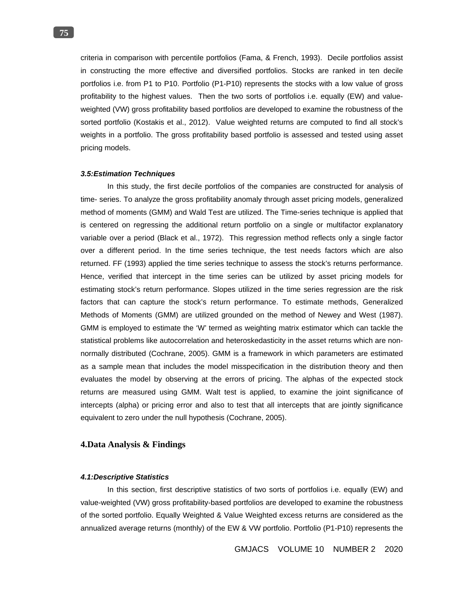criteria in comparison with percentile portfolios (Fama, & French, 1993). Decile portfolios assist in constructing the more effective and diversified portfolios. Stocks are ranked in ten decile portfolios i.e. from P1 to P10. Portfolio (P1-P10) represents the stocks with a low value of gross profitability to the highest values. Then the two sorts of portfolios i.e. equally (EW) and valueweighted (VW) gross profitability based portfolios are developed to examine the robustness of the sorted portfolio (Kostakis et al., 2012). Value weighted returns are computed to find all stock's weights in a portfolio. The gross profitability based portfolio is assessed and tested using asset pricing models.

### *3.5:Estimation Techniques*

In this study, the first decile portfolios of the companies are constructed for analysis of time- series. To analyze the gross profitability anomaly through asset pricing models, generalized method of moments (GMM) and Wald Test are utilized. The Time-series technique is applied that is centered on regressing the additional return portfolio on a single or multifactor explanatory variable over a period (Black et al., 1972). This regression method reflects only a single factor over a different period. In the time series technique, the test needs factors which are also returned. FF (1993) applied the time series technique to assess the stock's returns performance. Hence, verified that intercept in the time series can be utilized by asset pricing models for estimating stock's return performance. Slopes utilized in the time series regression are the risk factors that can capture the stock's return performance. To estimate methods, Generalized Methods of Moments (GMM) are utilized grounded on the method of Newey and West (1987). GMM is employed to estimate the 'W' termed as weighting matrix estimator which can tackle the statistical problems like autocorrelation and heteroskedasticity in the asset returns which are nonnormally distributed (Cochrane, 2005). GMM is a framework in which parameters are estimated as a sample mean that includes the model misspecification in the distribution theory and then evaluates the model by observing at the errors of pricing. The alphas of the expected stock returns are measured using GMM. Walt test is applied, to examine the joint significance of intercepts (alpha) or pricing error and also to test that all intercepts that are jointly significance equivalent to zero under the null hypothesis (Cochrane, 2005).

## **4.Data Analysis & Findings**

### *4.1:Descriptive Statistics*

In this section, first descriptive statistics of two sorts of portfolios i.e. equally (EW) and value-weighted (VW) gross profitability-based portfolios are developed to examine the robustness of the sorted portfolio. Equally Weighted & Value Weighted excess returns are considered as the annualized average returns (monthly) of the EW & VW portfolio. Portfolio (P1-P10) represents the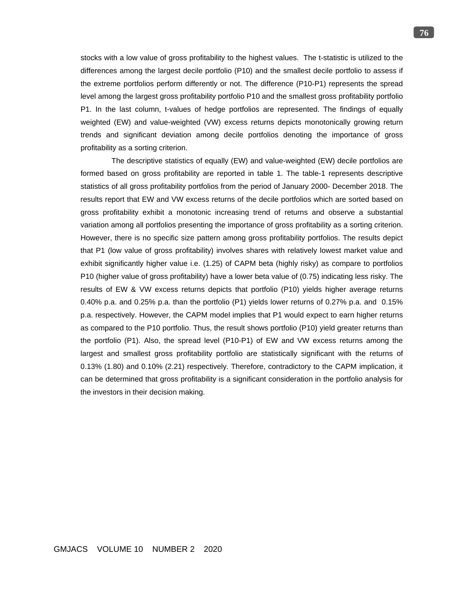stocks with a low value of gross profitability to the highest values. The t-statistic is utilized to the differences among the largest decile portfolio (P10) and the smallest decile portfolio to assess if the extreme portfolios perform differently or not. The difference (P10-P1) represents the spread level among the largest gross profitability portfolio P10 and the smallest gross profitability portfolio P1. In the last column, t-values of hedge portfolios are represented. The findings of equally weighted (EW) and value-weighted (VW) excess returns depicts monotonically growing return trends and significant deviation among decile portfolios denoting the importance of gross profitability as a sorting criterion.

 The descriptive statistics of equally (EW) and value-weighted (EW) decile portfolios are formed based on gross profitability are reported in table 1. The table-1 represents descriptive statistics of all gross profitability portfolios from the period of January 2000- December 2018. The results report that EW and VW excess returns of the decile portfolios which are sorted based on gross profitability exhibit a monotonic increasing trend of returns and observe a substantial variation among all portfolios presenting the importance of gross profitability as a sorting criterion. However, there is no specific size pattern among gross profitability portfolios. The results depict that P1 (low value of gross profitability) involves shares with relatively lowest market value and exhibit significantly higher value i.e. (1.25) of CAPM beta (highly risky) as compare to portfolios P10 (higher value of gross profitability) have a lower beta value of (0.75) indicating less risky. The results of EW & VW excess returns depicts that portfolio (P10) yields higher average returns 0.40% p.a. and 0.25% p.a. than the portfolio (P1) yields lower returns of 0.27% p.a. and 0.15% p.a. respectively. However, the CAPM model implies that P1 would expect to earn higher returns as compared to the P10 portfolio. Thus, the result shows portfolio (P10) yield greater returns than the portfolio (P1). Also, the spread level (P10-P1) of EW and VW excess returns among the largest and smallest gross profitability portfolio are statistically significant with the returns of 0.13% (1.80) and 0.10% (2.21) respectively. Therefore, contradictory to the CAPM implication, it can be determined that gross profitability is a significant consideration in the portfolio analysis for the investors in their decision making.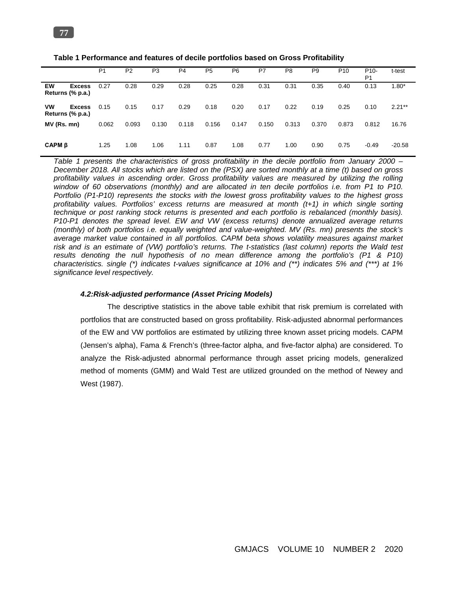|                                                | P <sub>1</sub> | P <sub>2</sub> | P3    | P <sub>4</sub> | P <sub>5</sub> | P <sub>6</sub> | P7    | P <sub>8</sub> | P <sub>9</sub> | P <sub>10</sub> | P <sub>10</sub> -<br>P <sub>1</sub> | t-test   |
|------------------------------------------------|----------------|----------------|-------|----------------|----------------|----------------|-------|----------------|----------------|-----------------|-------------------------------------|----------|
| EW<br><b>Excess</b><br>Returns (% p.a.)        | 0.27           | 0.28           | 0.29  | 0.28           | 0.25           | 0.28           | 0.31  | 0.31           | 0.35           | 0.40            | 0.13                                | $1.80*$  |
| <b>VW</b><br><b>Excess</b><br>Returns (% p.a.) | 0.15           | 0.15           | 0.17  | 0.29           | 0.18           | 0.20           | 0.17  | 0.22           | 0.19           | 0.25            | 0.10                                | $2.21**$ |
| MV (Rs. mn)                                    | 0.062          | 0.093          | 0.130 | 0.118          | 0.156          | 0.147          | 0.150 | 0.313          | 0.370          | 0.873           | 0.812                               | 16.76    |
| CAPM <sub>B</sub>                              | 1.25           | 1.08           | 1.06  | 1.11           | 0.87           | 1.08           | 0.77  | 1.00           | 0.90           | 0.75            | $-0.49$                             | $-20.58$ |

**Table 1 Performance and features of decile portfolios based on Gross Profitability**

*Table 1 presents the characteristics of gross profitability in the decile portfolio from January 2000 – December 2018. All stocks which are listed on the (PSX) are sorted monthly at a time (t) based on gross profitability values in ascending order. Gross profitability values are measured by utilizing the rolling window of 60 observations (monthly) and are allocated in ten decile portfolios i.e. from P1 to P10. Portfolio (P1-P10) represents the stocks with the lowest gross profitability values to the highest gross profitability values. Portfolios' excess returns are measured at month (t+1) in which single sorting technique or post ranking stock returns is presented and each portfolio is rebalanced (monthly basis). P10-P1 denotes the spread level. EW and VW (excess returns) denote annualized average returns (monthly) of both portfolios i.e. equally weighted and value-weighted. MV (Rs. mn) presents the stock's average market value contained in all portfolios. CAPM beta shows volatility measures against market risk and is an estimate of (VW) portfolio's returns. The t-statistics (last column) reports the Wald test*  results denoting the null hypothesis of no mean difference among the portfolio's (P1 & P10) *characteristics. single (\*) indicates t-values significance at 10% and (\*\*) indicates 5% and (\*\*\*) at 1% significance level respectively.*

### *4.2:Risk-adjusted performance (Asset Pricing Models)*

The descriptive statistics in the above table exhibit that risk premium is correlated with portfolios that are constructed based on gross profitability. Risk-adjusted abnormal performances of the EW and VW portfolios are estimated by utilizing three known asset pricing models. CAPM (Jensen's alpha), Fama & French's (three-factor alpha, and five-factor alpha) are considered. To analyze the Risk-adjusted abnormal performance through asset pricing models, generalized method of moments (GMM) and Wald Test are utilized grounded on the method of Newey and West (1987).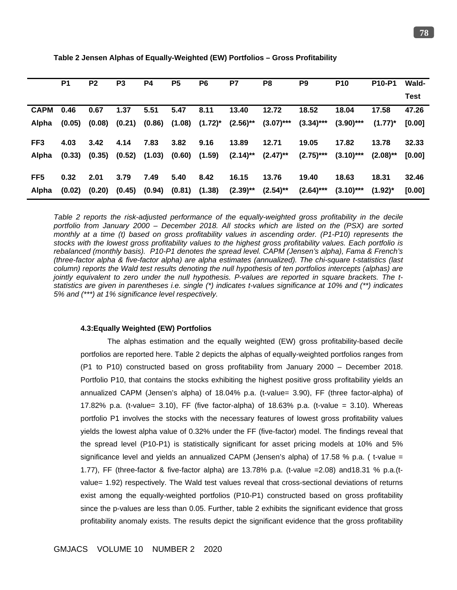|                 | P <sub>1</sub> | P <sub>2</sub> | P <sub>3</sub> | <b>P4</b>         | P <sub>5</sub> | P <sub>6</sub>                        | P7          | P <sub>8</sub> | P <sub>9</sub> | <b>P10</b>   | P <sub>10-P1</sub> | <b>Wald-</b> |
|-----------------|----------------|----------------|----------------|-------------------|----------------|---------------------------------------|-------------|----------------|----------------|--------------|--------------------|--------------|
|                 |                |                |                |                   |                |                                       |             |                |                |              |                    | <b>Test</b>  |
| <b>CAPM</b>     | 0.46           | 0.67           | 1.37           | 5.51              | 5.47           | 8.11                                  | 13.40       | 12.72          | 18.52          | 18.04        | 17.58              | 47.26        |
| Alpha           | (0.05)         | (0.08)         |                |                   |                | $(0.21)$ $(0.86)$ $(1.08)$ $(1.72)^*$ | $(2.56)$ ** | $(3.07)$ ***   | $(3.34)$ ***   | $(3.90)$ *** | $(1.77)^*$         | [0.00]       |
| FF <sub>3</sub> | 4.03           | 3.42           | 4.14           | 7.83              | 3.82           | 9.16                                  | 13.89       | 12.71          | 19.05          | 17.82        | 13.78              | 32.33        |
| Alpha           | (0.33)         | (0.35)         |                | $(0.52)$ $(1.03)$ | (0.60)         | (1.59)                                | $(2.14)$ ** | $(2.47)$ **    | $(2.75)$ ***   | $(3.10)$ *** | $(2.08)$ **        | [0.00]       |
| FF <sub>5</sub> | 0.32           | 2.01           | 3.79           | 7.49              | 5.40           | 8.42                                  | 16.15       | 13.76          | 19.40          | 18.63        | 18.31              | 32.46        |
| Alpha           | (0.02)         | (0.20)         | (0.45)         | (0.94)            |                | $(0.81)$ $(1.38)$                     | $(2.39)$ ** | $(2.54)$ **    | $(2.64)***$    | $(3.10)$ *** | $(1.92)^*$         | [0.00]       |

**Table 2 Jensen Alphas of Equally-Weighted (EW) Portfolios – Gross Profitability**

*Table 2 reports the risk-adjusted performance of the equally-weighted gross profitability in the decile portfolio from January 2000 – December 2018. All stocks which are listed on the (PSX) are sorted monthly at a time (t) based on gross profitability values in ascending order. (P1-P10) represents the stocks with the lowest gross profitability values to the highest gross profitability values. Each portfolio is rebalanced (monthly basis). P10-P1 denotes the spread level. CAPM (Jensen's alpha), Fama & French's (three-factor alpha & five-factor alpha) are alpha estimates (annualized). The chi-square t-statistics (last column) reports the Wald test results denoting the null hypothesis of ten portfolios intercepts (alphas) are jointly equivalent to zero under the null hypothesis. P-values are reported in square brackets. The tstatistics are given in parentheses i.e. single (\*) indicates t-values significance at 10% and (\*\*) indicates 5% and (\*\*\*) at 1% significance level respectively.*

### **4.3:Equally Weighted (EW) Portfolios**

The alphas estimation and the equally weighted (EW) gross profitability-based decile portfolios are reported here. Table 2 depicts the alphas of equally-weighted portfolios ranges from (P1 to P10) constructed based on gross profitability from January 2000 – December 2018. Portfolio P10, that contains the stocks exhibiting the highest positive gross profitability yields an annualized CAPM (Jensen's alpha) of 18.04% p.a. (t-value= 3.90), FF (three factor-alpha) of 17.82% p.a. (t-value=  $3.10$ ), FF (five factor-alpha) of 18.63% p.a. (t-value =  $3.10$ ). Whereas portfolio P1 involves the stocks with the necessary features of lowest gross profitability values yields the lowest alpha value of 0.32% under the FF (five-factor) model. The findings reveal that the spread level (P10-P1) is statistically significant for asset pricing models at 10% and 5% significance level and yields an annualized CAPM (Jensen's alpha) of 17.58 % p.a. (t-value = 1.77), FF (three-factor & five-factor alpha) are 13.78% p.a. (t-value =2.08) and18.31 % p.a.(tvalue= 1.92) respectively. The Wald test values reveal that cross-sectional deviations of returns exist among the equally-weighted portfolios (P10-P1) constructed based on gross profitability since the p-values are less than 0.05. Further, table 2 exhibits the significant evidence that gross profitability anomaly exists. The results depict the significant evidence that the gross profitability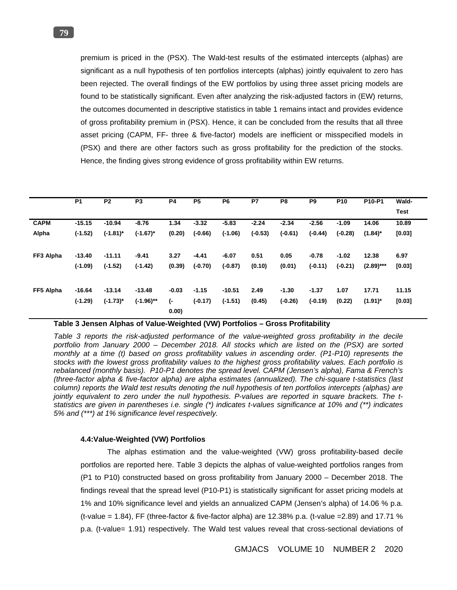premium is priced in the (PSX). The Wald-test results of the estimated intercepts (alphas) are significant as a null hypothesis of ten portfolios intercepts (alphas) jointly equivalent to zero has been rejected. The overall findings of the EW portfolios by using three asset pricing models are found to be statistically significant. Even after analyzing the risk-adjusted factors in (EW) returns, the outcomes documented in descriptive statistics in table 1 remains intact and provides evidence of gross profitability premium in (PSX). Hence, it can be concluded from the results that all three asset pricing (CAPM, FF- three & five-factor) models are inefficient or misspecified models in (PSX) and there are other factors such as gross profitability for the prediction of the stocks. Hence, the finding gives strong evidence of gross profitability within EW returns.

|             | <b>P1</b> | P <sub>2</sub> | P <sub>3</sub> | <b>P4</b>   | P <sub>5</sub> | P <sub>6</sub> | P7        | P <sub>8</sub> | P <sub>9</sub> | P <sub>10</sub> | P10-P1      | Wald-       |
|-------------|-----------|----------------|----------------|-------------|----------------|----------------|-----------|----------------|----------------|-----------------|-------------|-------------|
|             |           |                |                |             |                |                |           |                |                |                 |             | <b>Test</b> |
| <b>CAPM</b> | $-15.15$  | $-10.94$       | $-8.76$        | 1.34        | $-3.32$        | $-5.83$        | $-2.24$   | $-2.34$        | $-2.56$        | $-1.09$         | 14.06       | 10.89       |
| Alpha       | $(-1.52)$ | $(-1.81)^*$    | $(-1.67)^*$    | (0.20)      | $(-0.66)$      | $(-1.06)$      | $(-0.53)$ | $(-0.61)$      | $(-0.44)$      | $(-0.28)$       | $(1.84)^*$  | [0.03]      |
| FF3 Alpha   | $-13.40$  | $-11.11$       | $-9.41$        | 3.27        | $-4.41$        | $-6.07$        | 0.51      | 0.05           | $-0.78$        | $-1.02$         | 12.38       | 6.97        |
|             | $(-1.09)$ | $(-1.52)$      | $(-1.42)$      | (0.39)      | $(-0.70)$      | $(-0.87)$      | (0.10)    | (0.01)         | $(-0.11)$      | $(-0.21)$       | $(2.89)***$ | [0.03]      |
| FF5 Alpha   | $-16.64$  | $-13.14$       | $-13.48$       | $-0.03$     | $-1.15$        | $-10.51$       | 2.49      | $-1.30$        | $-1.37$        | 1.07            | 17.71       | 11.15       |
|             | $(-1.29)$ | $(-1.73)^*$    | $(-1.96)$ **   | (-<br>0.00) | $(-0.17)$      | $(-1.51)$      | (0.45)    | $(-0.26)$      | $(-0.19)$      | (0.22)          | $(1.91)^*$  | [0.03]      |

# **Table 3 Jensen Alphas of Value-Weighted (VW) Portfolios – Gross Profitability**

Table 3 reports the risk-adjusted performance of the value-weighted gross profitability in the decile *portfolio from January 2000 – December 2018. All stocks which are listed on the (PSX) are sorted monthly at a time (t) based on gross profitability values in ascending order. (P1-P10) represents the stocks with the lowest gross profitability values to the highest gross profitability values. Each portfolio is rebalanced (monthly basis). P10-P1 denotes the spread level. CAPM (Jensen's alpha), Fama & French's (three-factor alpha & five-factor alpha) are alpha estimates (annualized). The chi-square t-statistics (last column) reports the Wald test results denoting the null hypothesis of ten portfolios intercepts (alphas) are jointly equivalent to zero under the null hypothesis. P-values are reported in square brackets. The tstatistics are given in parentheses i.e. single (\*) indicates t-values significance at 10% and (\*\*) indicates 5% and (\*\*\*) at 1% significance level respectively.* 

## **4.4:Value-Weighted (VW) Portfolios**

The alphas estimation and the value-weighted (VW) gross profitability-based decile portfolios are reported here. Table 3 depicts the alphas of value-weighted portfolios ranges from (P1 to P10) constructed based on gross profitability from January 2000 – December 2018. The findings reveal that the spread level (P10-P1) is statistically significant for asset pricing models at 1% and 10% significance level and yields an annualized CAPM (Jensen's alpha) of 14.06 % p.a. (t-value = 1.84), FF (three-factor & five-factor alpha) are 12.38% p.a. (t-value =2.89) and 17.71 % p.a. (t-value= 1.91) respectively. The Wald test values reveal that cross-sectional deviations of

GMJACS VOLUME 10 NUMBER 2 2020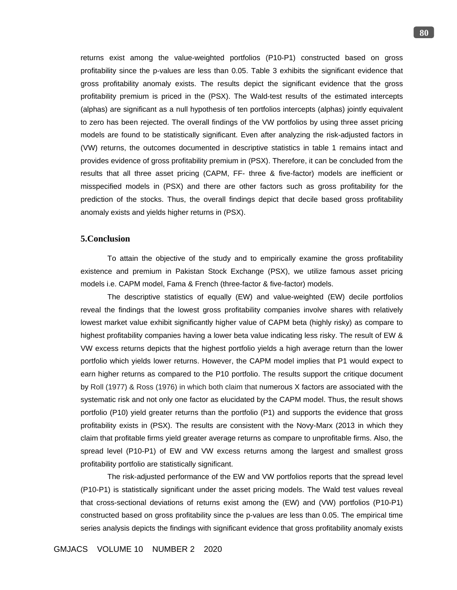returns exist among the value-weighted portfolios (P10-P1) constructed based on gross profitability since the p-values are less than 0.05. Table 3 exhibits the significant evidence that gross profitability anomaly exists. The results depict the significant evidence that the gross profitability premium is priced in the (PSX). The Wald-test results of the estimated intercepts (alphas) are significant as a null hypothesis of ten portfolios intercepts (alphas) jointly equivalent to zero has been rejected. The overall findings of the VW portfolios by using three asset pricing models are found to be statistically significant. Even after analyzing the risk-adjusted factors in (VW) returns, the outcomes documented in descriptive statistics in table 1 remains intact and provides evidence of gross profitability premium in (PSX). Therefore, it can be concluded from the results that all three asset pricing (CAPM, FF- three & five-factor) models are inefficient or misspecified models in (PSX) and there are other factors such as gross profitability for the prediction of the stocks. Thus, the overall findings depict that decile based gross profitability anomaly exists and yields higher returns in (PSX).

# **5.Conclusion**

To attain the objective of the study and to empirically examine the gross profitability existence and premium in Pakistan Stock Exchange (PSX), we utilize famous asset pricing models i.e. CAPM model, Fama & French (three-factor & five-factor) models.

The descriptive statistics of equally (EW) and value-weighted (EW) decile portfolios reveal the findings that the lowest gross profitability companies involve shares with relatively lowest market value exhibit significantly higher value of CAPM beta (highly risky) as compare to highest profitability companies having a lower beta value indicating less risky. The result of EW & VW excess returns depicts that the highest portfolio yields a high average return than the lower portfolio which yields lower returns. However, the CAPM model implies that P1 would expect to earn higher returns as compared to the P10 portfolio. The results support the critique document by Roll (1977) & Ross (1976) in which both claim that numerous X factors are associated with the systematic risk and not only one factor as elucidated by the CAPM model. Thus, the result shows portfolio (P10) yield greater returns than the portfolio (P1) and supports the evidence that gross profitability exists in (PSX). The results are consistent with the Novy-Marx (2013 in which they claim that profitable firms yield greater average returns as compare to unprofitable firms. Also, the spread level (P10-P1) of EW and VW excess returns among the largest and smallest gross profitability portfolio are statistically significant.

The risk-adjusted performance of the EW and VW portfolios reports that the spread level (P10-P1) is statistically significant under the asset pricing models. The Wald test values reveal that cross-sectional deviations of returns exist among the (EW) and (VW) portfolios (P10-P1) constructed based on gross profitability since the p-values are less than 0.05. The empirical time series analysis depicts the findings with significant evidence that gross profitability anomaly exists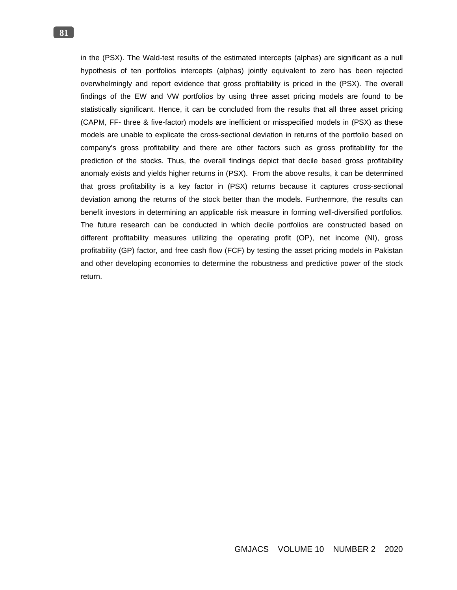in the (PSX). The Wald-test results of the estimated intercepts (alphas) are significant as a null hypothesis of ten portfolios intercepts (alphas) jointly equivalent to zero has been rejected overwhelmingly and report evidence that gross profitability is priced in the (PSX). The overall findings of the EW and VW portfolios by using three asset pricing models are found to be statistically significant. Hence, it can be concluded from the results that all three asset pricing (CAPM, FF- three & five-factor) models are inefficient or misspecified models in (PSX) as these models are unable to explicate the cross-sectional deviation in returns of the portfolio based on company's gross profitability and there are other factors such as gross profitability for the prediction of the stocks. Thus, the overall findings depict that decile based gross profitability anomaly exists and yields higher returns in (PSX). From the above results, it can be determined that gross profitability is a key factor in (PSX) returns because it captures cross-sectional deviation among the returns of the stock better than the models. Furthermore, the results can benefit investors in determining an applicable risk measure in forming well-diversified portfolios. The future research can be conducted in which decile portfolios are constructed based on different profitability measures utilizing the operating profit (OP), net income (NI), gross profitability (GP) factor, and free cash flow (FCF) by testing the asset pricing models in Pakistan and other developing economies to determine the robustness and predictive power of the stock return.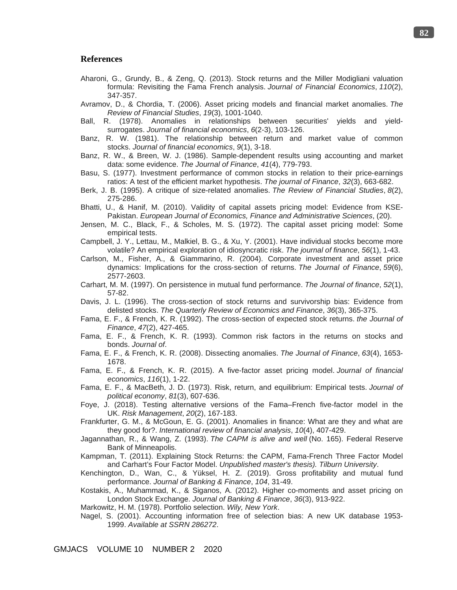## **References**

- Aharoni, G., Grundy, B., & Zeng, Q. (2013). Stock returns and the Miller Modigliani valuation formula: Revisiting the Fama French analysis. *Journal of Financial Economics*, *110*(2), 347-357.
- Avramov, D., & Chordia, T. (2006). Asset pricing models and financial market anomalies. *The Review of Financial Studies*, *19*(3), 1001-1040.
- Ball, R. (1978). Anomalies in relationships between securities' yields and yieldsurrogates. *Journal of financial economics*, *6*(2-3), 103-126.
- Banz, R. W. (1981). The relationship between return and market value of common stocks. *Journal of financial economics*, *9*(1), 3-18.
- Banz, R. W., & Breen, W. J. (1986). Sample‐dependent results using accounting and market data: some evidence. *The Journal of Finance*, *41*(4), 779-793.
- Basu. S. (1977). Investment performance of common stocks in relation to their price-earnings ratios: A test of the efficient market hypothesis. *The journal of Finance*, *32*(3), 663-682.
- Berk, J. B. (1995). A critique of size-related anomalies. *The Review of Financial Studies*, *8*(2), 275-286.
- Bhatti, U., & Hanif, M. (2010). Validity of capital assets pricing model: Evidence from KSE-Pakistan. *European Journal of Economics, Finance and Administrative Sciences*, (20).
- Jensen, M. C., Black, F., & Scholes, M. S. (1972). The capital asset pricing model: Some empirical tests.
- Campbell, J. Y., Lettau, M., Malkiel, B. G., & Xu, Y. (2001). Have individual stocks become more volatile? An empirical exploration of idiosyncratic risk. *The journal of finance*, *56*(1), 1-43.
- Carlson, M., Fisher, A., & Giammarino, R. (2004). Corporate investment and asset price dynamics: Implications for the cross‐section of returns. *The Journal of Finance*, *59*(6), 2577-2603.
- Carhart, M. M. (1997). On persistence in mutual fund performance. *The Journal of finance*, *52*(1), 57-82.
- Davis, J. L. (1996). The cross-section of stock returns and survivorship bias: Evidence from delisted stocks. *The Quarterly Review of Economics and Finance*, *36*(3), 365-375.
- Fama, E. F., & French, K. R. (1992). The cross‐section of expected stock returns. *the Journal of Finance*, *47*(2), 427-465.
- Fama, E. F., & French, K. R. (1993). Common risk factors in the returns on stocks and bonds. *Journal of*.
- Fama, E. F., & French, K. R. (2008). Dissecting anomalies. *The Journal of Finance*, *63*(4), 1653- 1678.
- Fama, E. F., & French, K. R. (2015). A five-factor asset pricing model. *Journal of financial economics*, *116*(1), 1-22.
- Fama, E. F., & MacBeth, J. D. (1973). Risk, return, and equilibrium: Empirical tests. *Journal of political economy*, *81*(3), 607-636.
- Foye, J. (2018). Testing alternative versions of the Fama–French five-factor model in the UK. *Risk Management*, *20*(2), 167-183.
- Frankfurter, G. M., & McGoun, E. G. (2001). Anomalies in finance: What are they and what are they good for?. *International review of financial analysis*, *10*(4), 407-429.
- Jagannathan, R., & Wang, Z. (1993). *The CAPM is alive and well* (No. 165). Federal Reserve Bank of Minneapolis.
- Kampman, T. (2011). Explaining Stock Returns: the CAPM, Fama-French Three Factor Model and Carhart's Four Factor Model. *Unpublished master's thesis). Tilburn University*.
- Kenchington, D., Wan, C., & Yüksel, H. Z. (2019). Gross profitability and mutual fund performance. *Journal of Banking & Finance*, *104*, 31-49.
- Kostakis, A., Muhammad, K., & Siganos, A. (2012). Higher co-moments and asset pricing on London Stock Exchange. *Journal of Banking & Finance*, *36*(3), 913-922.

Markowitz, H. M. (1978). Portfolio selection. *Wily, New York*.

Nagel, S. (2001). Accounting information free of selection bias: A new UK database 1953- 1999. *Available at SSRN 286272*.